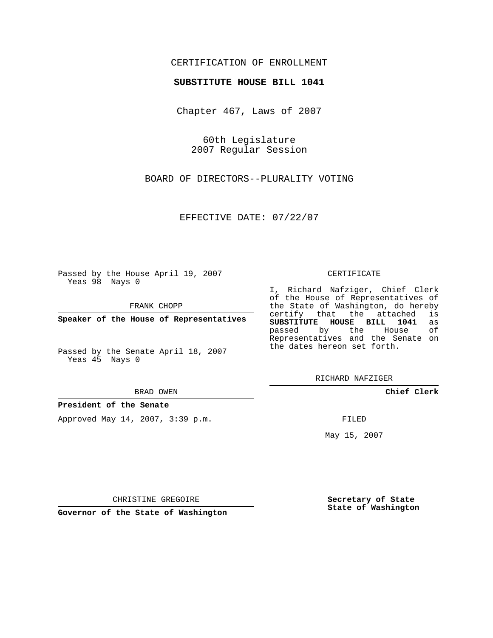## CERTIFICATION OF ENROLLMENT

## **SUBSTITUTE HOUSE BILL 1041**

Chapter 467, Laws of 2007

60th Legislature 2007 Regular Session

BOARD OF DIRECTORS--PLURALITY VOTING

EFFECTIVE DATE: 07/22/07

Passed by the House April 19, 2007 Yeas 98 Nays 0

FRANK CHOPP

**Speaker of the House of Representatives**

Passed by the Senate April 18, 2007 Yeas 45 Nays 0

BRAD OWEN

**President of the Senate**

Approved May 14, 2007, 3:39 p.m.

## CERTIFICATE

I, Richard Nafziger, Chief Clerk of the House of Representatives of the State of Washington, do hereby<br>certify that the attached is certify that the attached **SUBSTITUTE HOUSE BILL 1041** as passed by the Representatives and the Senate on the dates hereon set forth.

RICHARD NAFZIGER

**Chief Clerk**

FILED

May 15, 2007

**Secretary of State State of Washington**

CHRISTINE GREGOIRE

**Governor of the State of Washington**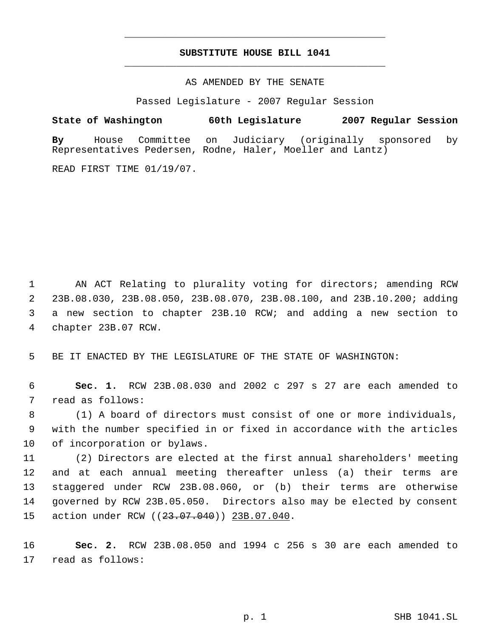## **SUBSTITUTE HOUSE BILL 1041** \_\_\_\_\_\_\_\_\_\_\_\_\_\_\_\_\_\_\_\_\_\_\_\_\_\_\_\_\_\_\_\_\_\_\_\_\_\_\_\_\_\_\_\_\_

\_\_\_\_\_\_\_\_\_\_\_\_\_\_\_\_\_\_\_\_\_\_\_\_\_\_\_\_\_\_\_\_\_\_\_\_\_\_\_\_\_\_\_\_\_

AS AMENDED BY THE SENATE

Passed Legislature - 2007 Regular Session

**State of Washington 60th Legislature 2007 Regular Session**

**By** House Committee on Judiciary (originally sponsored by Representatives Pedersen, Rodne, Haler, Moeller and Lantz)

READ FIRST TIME 01/19/07.

 AN ACT Relating to plurality voting for directors; amending RCW 23B.08.030, 23B.08.050, 23B.08.070, 23B.08.100, and 23B.10.200; adding a new section to chapter 23B.10 RCW; and adding a new section to chapter 23B.07 RCW.

5 BE IT ENACTED BY THE LEGISLATURE OF THE STATE OF WASHINGTON:

 6 **Sec. 1.** RCW 23B.08.030 and 2002 c 297 s 27 are each amended to 7 read as follows:

 8 (1) A board of directors must consist of one or more individuals, 9 with the number specified in or fixed in accordance with the articles 10 of incorporation or bylaws.

 (2) Directors are elected at the first annual shareholders' meeting and at each annual meeting thereafter unless (a) their terms are staggered under RCW 23B.08.060, or (b) their terms are otherwise governed by RCW 23B.05.050. Directors also may be elected by consent 15 action under RCW ((23.07.040)) 23B.07.040.

16 **Sec. 2.** RCW 23B.08.050 and 1994 c 256 s 30 are each amended to 17 read as follows: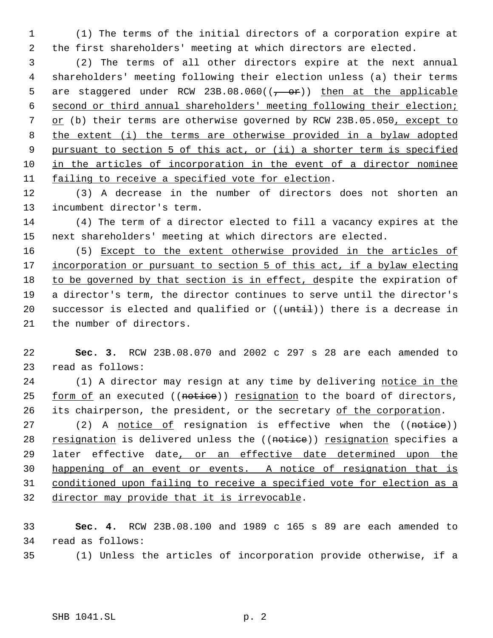(1) The terms of the initial directors of a corporation expire at the first shareholders' meeting at which directors are elected.

 (2) The terms of all other directors expire at the next annual shareholders' meeting following their election unless (a) their terms 5 are staggered under RCW 23B.08.060( $(-\rightarrow e^2)$ ) then at the applicable second or third annual shareholders' meeting following their election; or (b) their terms are otherwise governed by RCW 23B.05.050, except to the extent (i) the terms are otherwise provided in a bylaw adopted pursuant to section 5 of this act, or (ii) a shorter term is specified in the articles of incorporation in the event of a director nominee failing to receive a specified vote for election.

 (3) A decrease in the number of directors does not shorten an incumbent director's term.

 (4) The term of a director elected to fill a vacancy expires at the next shareholders' meeting at which directors are elected.

 (5) Except to the extent otherwise provided in the articles of 17 incorporation or pursuant to section 5 of this act, if a bylaw electing 18 to be governed by that section is in effect, despite the expiration of a director's term, the director continues to serve until the director's 20 successor is elected and qualified or  $((uniti))$  there is a decrease in the number of directors.

 **Sec. 3.** RCW 23B.08.070 and 2002 c 297 s 28 are each amended to read as follows:

 (1) A director may resign at any time by delivering notice in the 25 form of an executed ((notice)) resignation to the board of directors, 26 its chairperson, the president, or the secretary of the corporation.

27 (2) A notice of resignation is effective when the ((notice)) 28 resignation is delivered unless the ((notice)) resignation specifies a 29 later effective date, or an effective date determined upon the happening of an event or events. A notice of resignation that is conditioned upon failing to receive a specified vote for election as a director may provide that it is irrevocable.

 **Sec. 4.** RCW 23B.08.100 and 1989 c 165 s 89 are each amended to read as follows:

(1) Unless the articles of incorporation provide otherwise, if a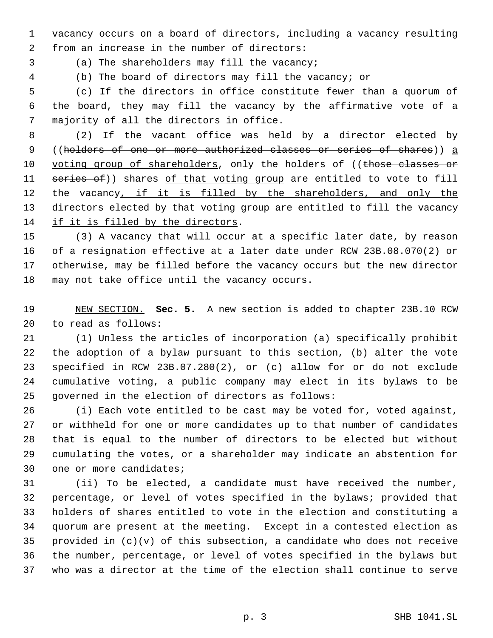vacancy occurs on a board of directors, including a vacancy resulting from an increase in the number of directors:

(a) The shareholders may fill the vacancy;

(b) The board of directors may fill the vacancy; or

 (c) If the directors in office constitute fewer than a quorum of the board, they may fill the vacancy by the affirmative vote of a majority of all the directors in office.

 (2) If the vacant office was held by a director elected by ((holders of one or more authorized classes or series of shares)) a 10 voting group of shareholders, only the holders of ((those classes or 11 series of)) shares of that voting group are entitled to vote to fill 12 the vacancy, if it is filled by the shareholders, and only the 13 directors elected by that voting group are entitled to fill the vacancy if it is filled by the directors.

 (3) A vacancy that will occur at a specific later date, by reason of a resignation effective at a later date under RCW 23B.08.070(2) or otherwise, may be filled before the vacancy occurs but the new director may not take office until the vacancy occurs.

 NEW SECTION. **Sec. 5.** A new section is added to chapter 23B.10 RCW to read as follows:

 (1) Unless the articles of incorporation (a) specifically prohibit the adoption of a bylaw pursuant to this section, (b) alter the vote specified in RCW 23B.07.280(2), or (c) allow for or do not exclude cumulative voting, a public company may elect in its bylaws to be governed in the election of directors as follows:

 (i) Each vote entitled to be cast may be voted for, voted against, or withheld for one or more candidates up to that number of candidates that is equal to the number of directors to be elected but without cumulating the votes, or a shareholder may indicate an abstention for one or more candidates;

 (ii) To be elected, a candidate must have received the number, percentage, or level of votes specified in the bylaws; provided that holders of shares entitled to vote in the election and constituting a quorum are present at the meeting. Except in a contested election as 35 provided in  $(c)(v)$  of this subsection, a candidate who does not receive the number, percentage, or level of votes specified in the bylaws but who was a director at the time of the election shall continue to serve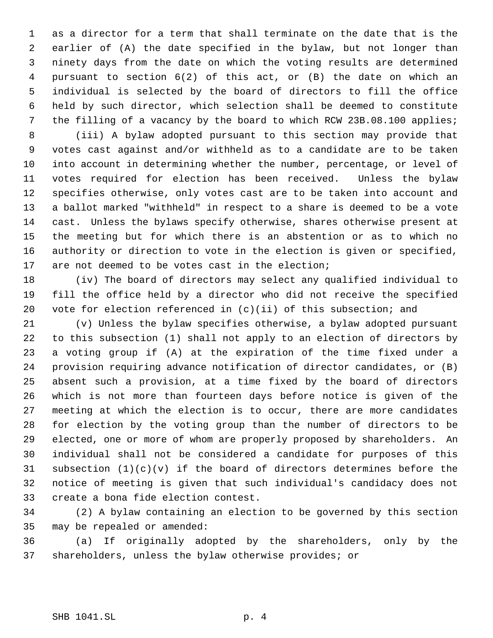as a director for a term that shall terminate on the date that is the earlier of (A) the date specified in the bylaw, but not longer than ninety days from the date on which the voting results are determined pursuant to section 6(2) of this act, or (B) the date on which an individual is selected by the board of directors to fill the office held by such director, which selection shall be deemed to constitute the filling of a vacancy by the board to which RCW 23B.08.100 applies;

 (iii) A bylaw adopted pursuant to this section may provide that votes cast against and/or withheld as to a candidate are to be taken into account in determining whether the number, percentage, or level of votes required for election has been received. Unless the bylaw specifies otherwise, only votes cast are to be taken into account and a ballot marked "withheld" in respect to a share is deemed to be a vote cast. Unless the bylaws specify otherwise, shares otherwise present at the meeting but for which there is an abstention or as to which no authority or direction to vote in the election is given or specified, are not deemed to be votes cast in the election;

 (iv) The board of directors may select any qualified individual to fill the office held by a director who did not receive the specified vote for election referenced in (c)(ii) of this subsection; and

 (v) Unless the bylaw specifies otherwise, a bylaw adopted pursuant to this subsection (1) shall not apply to an election of directors by a voting group if (A) at the expiration of the time fixed under a provision requiring advance notification of director candidates, or (B) absent such a provision, at a time fixed by the board of directors which is not more than fourteen days before notice is given of the meeting at which the election is to occur, there are more candidates for election by the voting group than the number of directors to be elected, one or more of whom are properly proposed by shareholders. An individual shall not be considered a candidate for purposes of this 31 subsection  $(1)(c)(v)$  if the board of directors determines before the notice of meeting is given that such individual's candidacy does not create a bona fide election contest.

 (2) A bylaw containing an election to be governed by this section may be repealed or amended:

 (a) If originally adopted by the shareholders, only by the shareholders, unless the bylaw otherwise provides; or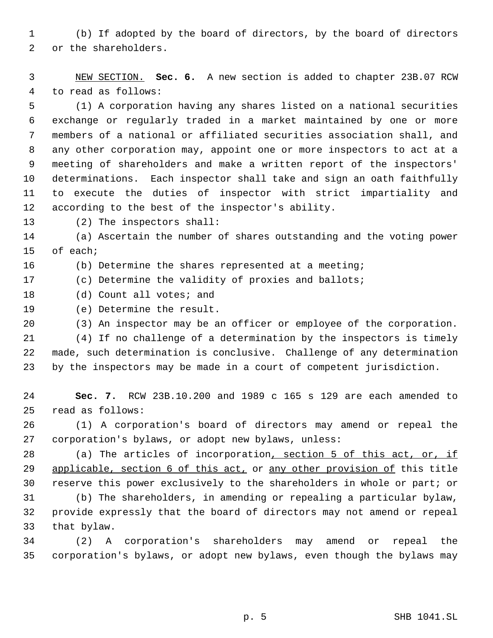(b) If adopted by the board of directors, by the board of directors or the shareholders.

 NEW SECTION. **Sec. 6.** A new section is added to chapter 23B.07 RCW to read as follows:

 (1) A corporation having any shares listed on a national securities exchange or regularly traded in a market maintained by one or more members of a national or affiliated securities association shall, and any other corporation may, appoint one or more inspectors to act at a meeting of shareholders and make a written report of the inspectors' determinations. Each inspector shall take and sign an oath faithfully to execute the duties of inspector with strict impartiality and according to the best of the inspector's ability.

(2) The inspectors shall:

 (a) Ascertain the number of shares outstanding and the voting power of each;

(b) Determine the shares represented at a meeting;

(c) Determine the validity of proxies and ballots;

18 (d) Count all votes; and

(e) Determine the result.

(3) An inspector may be an officer or employee of the corporation.

 (4) If no challenge of a determination by the inspectors is timely made, such determination is conclusive. Challenge of any determination by the inspectors may be made in a court of competent jurisdiction.

 **Sec. 7.** RCW 23B.10.200 and 1989 c 165 s 129 are each amended to read as follows:

 (1) A corporation's board of directors may amend or repeal the corporation's bylaws, or adopt new bylaws, unless:

28 (a) The articles of incorporation, section 5 of this act, or, if 29 applicable, section 6 of this act, or any other provision of this title reserve this power exclusively to the shareholders in whole or part; or

 (b) The shareholders, in amending or repealing a particular bylaw, provide expressly that the board of directors may not amend or repeal that bylaw.

 (2) A corporation's shareholders may amend or repeal the corporation's bylaws, or adopt new bylaws, even though the bylaws may